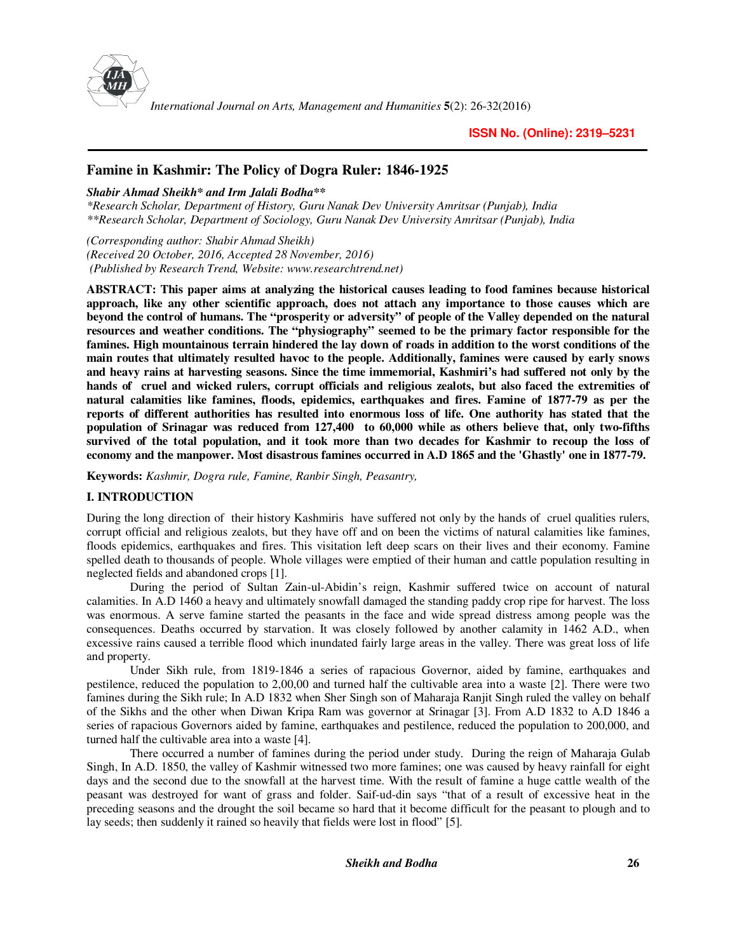

*International Journal on Arts, Management and Humanities* **5**(2): 26-32(2016)

## **Famine in Kashmir: The Policy of Dogra Ruler: 1846-1925**

*Shabir Ahmad Sheikh\* and Irm Jalali Bodha\*\** 

*\*Research Scholar, Department of History, Guru Nanak Dev University Amritsar (Punjab), India \*\*Research Scholar, Department of Sociology, Guru Nanak Dev University Amritsar (Punjab), India* 

*(Corresponding author: Shabir Ahmad Sheikh) (Received 20 October, 2016, Accepted 28 November, 2016) (Published by Research Trend, Website: www.researchtrend.net)* 

**ABSTRACT: This paper aims at analyzing the historical causes leading to food famines because historical approach, like any other scientific approach, does not attach any importance to those causes which are beyond the control of humans. The "prosperity or adversity" of people of the Valley depended on the natural resources and weather conditions. The "physiography" seemed to be the primary factor responsible for the famines. High mountainous terrain hindered the lay down of roads in addition to the worst conditions of the main routes that ultimately resulted havoc to the people. Additionally, famines were caused by early snows and heavy rains at harvesting seasons. Since the time immemorial, Kashmiri's had suffered not only by the hands of cruel and wicked rulers, corrupt officials and religious zealots, but also faced the extremities of natural calamities like famines, floods, epidemics, earthquakes and fires. Famine of 1877-79 as per the reports of different authorities has resulted into enormous loss of life. One authority has stated that the population of Srinagar was reduced from 127,400 to 60,000 while as others believe that, only two-fifths survived of the total population, and it took more than two decades for Kashmir to recoup the loss of economy and the manpower. Most disastrous famines occurred in A.D 1865 and the 'Ghastly' one in 1877-79.** 

**Keywords:** *Kashmir, Dogra rule, Famine, Ranbir Singh, Peasantry,*

## **I. INTRODUCTION**

During the long direction of their history Kashmiris have suffered not only by the hands of cruel qualities rulers, corrupt official and religious zealots, but they have off and on been the victims of natural calamities like famines, floods epidemics, earthquakes and fires. This visitation left deep scars on their lives and their economy. Famine spelled death to thousands of people. Whole villages were emptied of their human and cattle population resulting in neglected fields and abandoned crops [1].

During the period of Sultan Zain-ul-Abidin's reign, Kashmir suffered twice on account of natural calamities. In A.D 1460 a heavy and ultimately snowfall damaged the standing paddy crop ripe for harvest. The loss was enormous. A serve famine started the peasants in the face and wide spread distress among people was the consequences. Deaths occurred by starvation. It was closely followed by another calamity in 1462 A.D., when excessive rains caused a terrible flood which inundated fairly large areas in the valley. There was great loss of life and property.

Under Sikh rule, from 1819-1846 a series of rapacious Governor, aided by famine, earthquakes and pestilence, reduced the population to 2,00,00 and turned half the cultivable area into a waste [2]. There were two famines during the Sikh rule; In A.D 1832 when Sher Singh son of Maharaja Ranjit Singh ruled the valley on behalf of the Sikhs and the other when Diwan Kripa Ram was governor at Srinagar [3]. From A.D 1832 to A.D 1846 a series of rapacious Governors aided by famine, earthquakes and pestilence, reduced the population to 200,000, and turned half the cultivable area into a waste [4].

There occurred a number of famines during the period under study. During the reign of Maharaja Gulab Singh, In A.D. 1850, the valley of Kashmir witnessed two more famines; one was caused by heavy rainfall for eight days and the second due to the snowfall at the harvest time. With the result of famine a huge cattle wealth of the peasant was destroyed for want of grass and folder. Saif-ud-din says "that of a result of excessive heat in the preceding seasons and the drought the soil became so hard that it become difficult for the peasant to plough and to lay seeds; then suddenly it rained so heavily that fields were lost in flood" [5].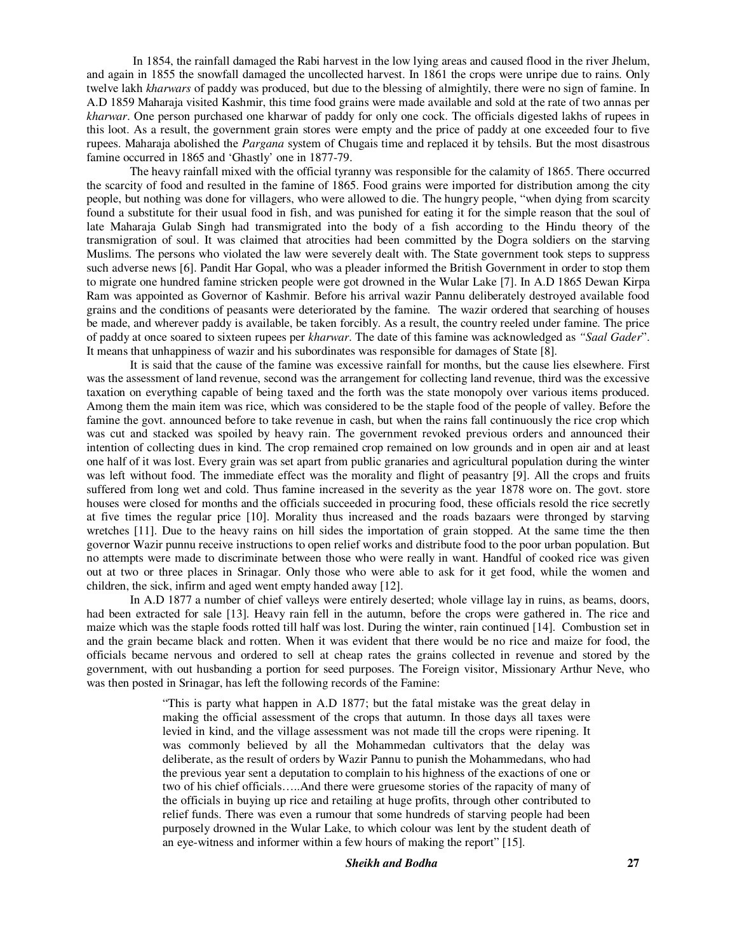In 1854, the rainfall damaged the Rabi harvest in the low lying areas and caused flood in the river Jhelum, and again in 1855 the snowfall damaged the uncollected harvest. In 1861 the crops were unripe due to rains. Only twelve lakh *kharwars* of paddy was produced, but due to the blessing of almightily, there were no sign of famine. In A.D 1859 Maharaja visited Kashmir, this time food grains were made available and sold at the rate of two annas per *kharwar*. One person purchased one kharwar of paddy for only one cock. The officials digested lakhs of rupees in this loot. As a result, the government grain stores were empty and the price of paddy at one exceeded four to five rupees. Maharaja abolished the *Pargana* system of Chugais time and replaced it by tehsils. But the most disastrous famine occurred in 1865 and 'Ghastly' one in 1877-79.

The heavy rainfall mixed with the official tyranny was responsible for the calamity of 1865. There occurred the scarcity of food and resulted in the famine of 1865. Food grains were imported for distribution among the city people, but nothing was done for villagers, who were allowed to die. The hungry people, "when dying from scarcity found a substitute for their usual food in fish, and was punished for eating it for the simple reason that the soul of late Maharaja Gulab Singh had transmigrated into the body of a fish according to the Hindu theory of the transmigration of soul. It was claimed that atrocities had been committed by the Dogra soldiers on the starving Muslims. The persons who violated the law were severely dealt with. The State government took steps to suppress such adverse news [6]. Pandit Har Gopal, who was a pleader informed the British Government in order to stop them to migrate one hundred famine stricken people were got drowned in the Wular Lake [7]. In A.D 1865 Dewan Kirpa Ram was appointed as Governor of Kashmir. Before his arrival wazir Pannu deliberately destroyed available food grains and the conditions of peasants were deteriorated by the famine. The wazir ordered that searching of houses be made, and wherever paddy is available, be taken forcibly. As a result, the country reeled under famine. The price of paddy at once soared to sixteen rupees per *kharwar*. The date of this famine was acknowledged as *"Saal Gader*". It means that unhappiness of wazir and his subordinates was responsible for damages of State [8].

It is said that the cause of the famine was excessive rainfall for months, but the cause lies elsewhere. First was the assessment of land revenue, second was the arrangement for collecting land revenue, third was the excessive taxation on everything capable of being taxed and the forth was the state monopoly over various items produced. Among them the main item was rice, which was considered to be the staple food of the people of valley. Before the famine the govt. announced before to take revenue in cash, but when the rains fall continuously the rice crop which was cut and stacked was spoiled by heavy rain. The government revoked previous orders and announced their intention of collecting dues in kind. The crop remained crop remained on low grounds and in open air and at least one half of it was lost. Every grain was set apart from public granaries and agricultural population during the winter was left without food. The immediate effect was the morality and flight of peasantry [9]. All the crops and fruits suffered from long wet and cold. Thus famine increased in the severity as the year 1878 wore on. The govt. store houses were closed for months and the officials succeeded in procuring food, these officials resold the rice secretly at five times the regular price [10]. Morality thus increased and the roads bazaars were thronged by starving wretches [11]. Due to the heavy rains on hill sides the importation of grain stopped. At the same time the then governor Wazir punnu receive instructions to open relief works and distribute food to the poor urban population. But no attempts were made to discriminate between those who were really in want. Handful of cooked rice was given out at two or three places in Srinagar. Only those who were able to ask for it get food, while the women and children, the sick, infirm and aged went empty handed away [12].

In A.D 1877 a number of chief valleys were entirely deserted; whole village lay in ruins, as beams, doors, had been extracted for sale [13]. Heavy rain fell in the autumn, before the crops were gathered in. The rice and maize which was the staple foods rotted till half was lost. During the winter, rain continued [14]. Combustion set in and the grain became black and rotten. When it was evident that there would be no rice and maize for food, the officials became nervous and ordered to sell at cheap rates the grains collected in revenue and stored by the government, with out husbanding a portion for seed purposes. The Foreign visitor, Missionary Arthur Neve, who was then posted in Srinagar, has left the following records of the Famine:

> "This is party what happen in A.D 1877; but the fatal mistake was the great delay in making the official assessment of the crops that autumn. In those days all taxes were levied in kind, and the village assessment was not made till the crops were ripening. It was commonly believed by all the Mohammedan cultivators that the delay was deliberate, as the result of orders by Wazir Pannu to punish the Mohammedans, who had the previous year sent a deputation to complain to his highness of the exactions of one or two of his chief officials…..And there were gruesome stories of the rapacity of many of the officials in buying up rice and retailing at huge profits, through other contributed to relief funds. There was even a rumour that some hundreds of starving people had been purposely drowned in the Wular Lake, to which colour was lent by the student death of an eye-witness and informer within a few hours of making the report" [15].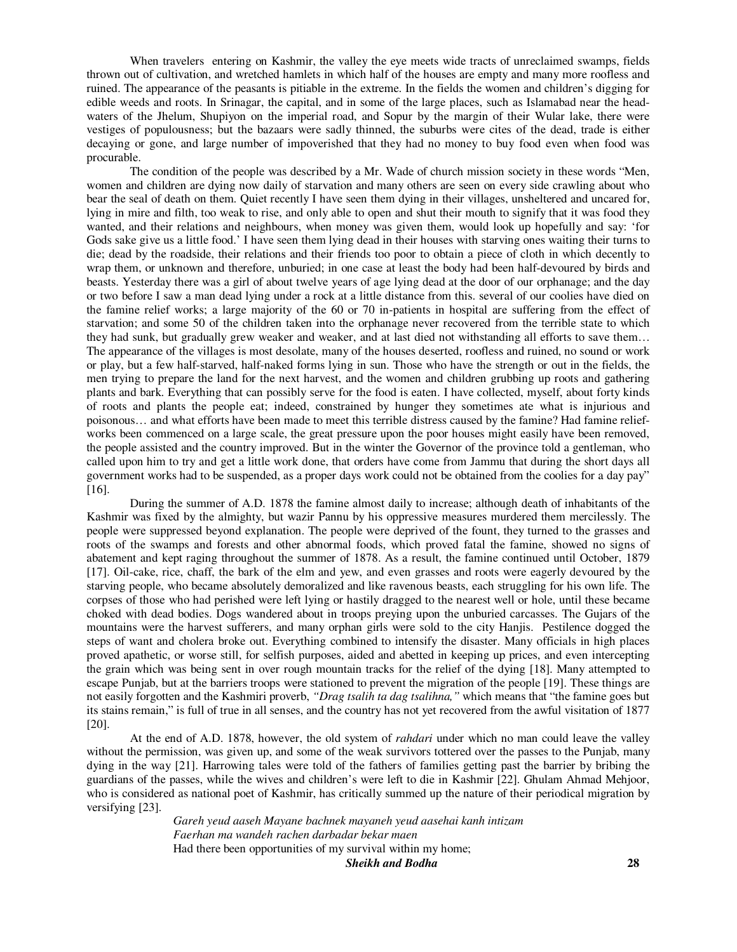When travelers entering on Kashmir, the valley the eye meets wide tracts of unreclaimed swamps, fields thrown out of cultivation, and wretched hamlets in which half of the houses are empty and many more roofless and ruined. The appearance of the peasants is pitiable in the extreme. In the fields the women and children's digging for edible weeds and roots. In Srinagar, the capital, and in some of the large places, such as Islamabad near the headwaters of the Jhelum, Shupiyon on the imperial road, and Sopur by the margin of their Wular lake, there were vestiges of populousness; but the bazaars were sadly thinned, the suburbs were cites of the dead, trade is either decaying or gone, and large number of impoverished that they had no money to buy food even when food was procurable.

The condition of the people was described by a Mr. Wade of church mission society in these words "Men, women and children are dying now daily of starvation and many others are seen on every side crawling about who bear the seal of death on them. Quiet recently I have seen them dying in their villages, unsheltered and uncared for, lying in mire and filth, too weak to rise, and only able to open and shut their mouth to signify that it was food they wanted, and their relations and neighbours, when money was given them, would look up hopefully and say: 'for Gods sake give us a little food.' I have seen them lying dead in their houses with starving ones waiting their turns to die; dead by the roadside, their relations and their friends too poor to obtain a piece of cloth in which decently to wrap them, or unknown and therefore, unburied; in one case at least the body had been half-devoured by birds and beasts. Yesterday there was a girl of about twelve years of age lying dead at the door of our orphanage; and the day or two before I saw a man dead lying under a rock at a little distance from this. several of our coolies have died on the famine relief works; a large majority of the 60 or 70 in-patients in hospital are suffering from the effect of starvation; and some 50 of the children taken into the orphanage never recovered from the terrible state to which they had sunk, but gradually grew weaker and weaker, and at last died not withstanding all efforts to save them… The appearance of the villages is most desolate, many of the houses deserted, roofless and ruined, no sound or work or play, but a few half-starved, half-naked forms lying in sun. Those who have the strength or out in the fields, the men trying to prepare the land for the next harvest, and the women and children grubbing up roots and gathering plants and bark. Everything that can possibly serve for the food is eaten. I have collected, myself, about forty kinds of roots and plants the people eat; indeed, constrained by hunger they sometimes ate what is injurious and poisonous… and what efforts have been made to meet this terrible distress caused by the famine? Had famine reliefworks been commenced on a large scale, the great pressure upon the poor houses might easily have been removed, the people assisted and the country improved. But in the winter the Governor of the province told a gentleman, who called upon him to try and get a little work done, that orders have come from Jammu that during the short days all government works had to be suspended, as a proper days work could not be obtained from the coolies for a day pay" [16].

During the summer of A.D. 1878 the famine almost daily to increase; although death of inhabitants of the Kashmir was fixed by the almighty, but wazir Pannu by his oppressive measures murdered them mercilessly. The people were suppressed beyond explanation. The people were deprived of the fount, they turned to the grasses and roots of the swamps and forests and other abnormal foods, which proved fatal the famine, showed no signs of abatement and kept raging throughout the summer of 1878. As a result, the famine continued until October, 1879 [17]. Oil-cake, rice, chaff, the bark of the elm and yew, and even grasses and roots were eagerly devoured by the starving people, who became absolutely demoralized and like ravenous beasts, each struggling for his own life. The corpses of those who had perished were left lying or hastily dragged to the nearest well or hole, until these became choked with dead bodies. Dogs wandered about in troops preying upon the unburied carcasses. The Gujars of the mountains were the harvest sufferers, and many orphan girls were sold to the city Hanjis. Pestilence dogged the steps of want and cholera broke out. Everything combined to intensify the disaster. Many officials in high places proved apathetic, or worse still, for selfish purposes, aided and abetted in keeping up prices, and even intercepting the grain which was being sent in over rough mountain tracks for the relief of the dying [18]. Many attempted to escape Punjab, but at the barriers troops were stationed to prevent the migration of the people [19]. These things are not easily forgotten and the Kashmiri proverb, *"Drag tsalih ta dag tsalihna,"* which means that "the famine goes but its stains remain," is full of true in all senses, and the country has not yet recovered from the awful visitation of 1877 [20].

At the end of A.D. 1878, however, the old system of *rahdari* under which no man could leave the valley without the permission, was given up, and some of the weak survivors tottered over the passes to the Punjab, many dying in the way [21]. Harrowing tales were told of the fathers of families getting past the barrier by bribing the guardians of the passes, while the wives and children's were left to die in Kashmir [22]. Ghulam Ahmad Mehjoor, who is considered as national poet of Kashmir, has critically summed up the nature of their periodical migration by versifying [23].

> *Sheikh and Bodha* **28** *Gareh yeud aaseh Mayane bachnek mayaneh yeud aasehai kanh intizam Faerhan ma wandeh rachen darbadar bekar maen*  Had there been opportunities of my survival within my home;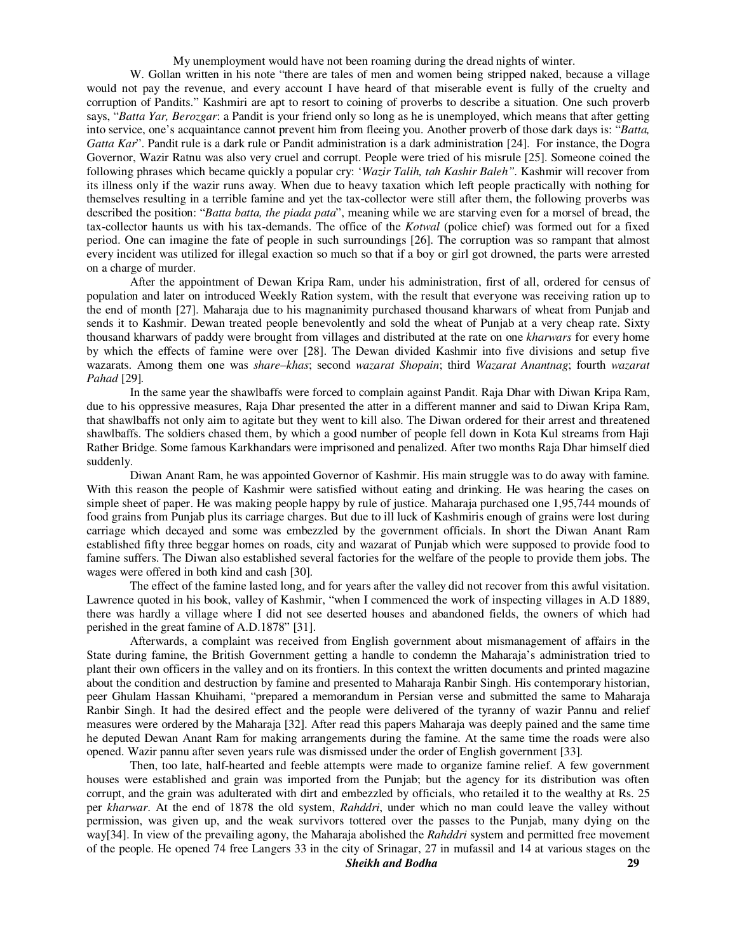My unemployment would have not been roaming during the dread nights of winter.

W. Gollan written in his note "there are tales of men and women being stripped naked, because a village would not pay the revenue, and every account I have heard of that miserable event is fully of the cruelty and corruption of Pandits." Kashmiri are apt to resort to coining of proverbs to describe a situation. One such proverb says, "*Batta Yar, Berozgar*: a Pandit is your friend only so long as he is unemployed, which means that after getting into service, one's acquaintance cannot prevent him from fleeing you. Another proverb of those dark days is: "*Batta, Gatta Kar*". Pandit rule is a dark rule or Pandit administration is a dark administration [24]. For instance, the Dogra Governor, Wazir Ratnu was also very cruel and corrupt. People were tried of his misrule [25]. Someone coined the following phrases which became quickly a popular cry: '*Wazir Talih, tah Kashir Baleh".* Kashmir will recover from its illness only if the wazir runs away. When due to heavy taxation which left people practically with nothing for themselves resulting in a terrible famine and yet the tax-collector were still after them, the following proverbs was described the position: "*Batta batta, the piada pata*", meaning while we are starving even for a morsel of bread, the tax-collector haunts us with his tax-demands. The office of the *Kotwal* (police chief) was formed out for a fixed period. One can imagine the fate of people in such surroundings [26]. The corruption was so rampant that almost every incident was utilized for illegal exaction so much so that if a boy or girl got drowned, the parts were arrested on a charge of murder.

After the appointment of Dewan Kripa Ram, under his administration, first of all, ordered for census of population and later on introduced Weekly Ration system, with the result that everyone was receiving ration up to the end of month [27]. Maharaja due to his magnanimity purchased thousand kharwars of wheat from Punjab and sends it to Kashmir. Dewan treated people benevolently and sold the wheat of Punjab at a very cheap rate. Sixty thousand kharwars of paddy were brought from villages and distributed at the rate on one *kharwars* for every home by which the effects of famine were over [28]. The Dewan divided Kashmir into five divisions and setup five wazarats. Among them one was *share–khas*; second *wazarat Shopain*; third *Wazarat Anantnag*; fourth *wazarat Pahad* [29]*.*

In the same year the shawlbaffs were forced to complain against Pandit. Raja Dhar with Diwan Kripa Ram, due to his oppressive measures, Raja Dhar presented the atter in a different manner and said to Diwan Kripa Ram, that shawlbaffs not only aim to agitate but they went to kill also. The Diwan ordered for their arrest and threatened shawlbaffs. The soldiers chased them, by which a good number of people fell down in Kota Kul streams from Haji Rather Bridge. Some famous Karkhandars were imprisoned and penalized. After two months Raja Dhar himself died suddenly.

Diwan Anant Ram, he was appointed Governor of Kashmir. His main struggle was to do away with famine. With this reason the people of Kashmir were satisfied without eating and drinking. He was hearing the cases on simple sheet of paper. He was making people happy by rule of justice. Maharaja purchased one 1,95,744 mounds of food grains from Punjab plus its carriage charges. But due to ill luck of Kashmiris enough of grains were lost during carriage which decayed and some was embezzled by the government officials. In short the Diwan Anant Ram established fifty three beggar homes on roads, city and wazarat of Punjab which were supposed to provide food to famine suffers. The Diwan also established several factories for the welfare of the people to provide them jobs. The wages were offered in both kind and cash [30].

The effect of the famine lasted long, and for years after the valley did not recover from this awful visitation. Lawrence quoted in his book, valley of Kashmir, "when I commenced the work of inspecting villages in A.D 1889, there was hardly a village where I did not see deserted houses and abandoned fields, the owners of which had perished in the great famine of A.D.1878" [31].

Afterwards, a complaint was received from English government about mismanagement of affairs in the State during famine, the British Government getting a handle to condemn the Maharaja's administration tried to plant their own officers in the valley and on its frontiers. In this context the written documents and printed magazine about the condition and destruction by famine and presented to Maharaja Ranbir Singh. His contemporary historian, peer Ghulam Hassan Khuihami, "prepared a memorandum in Persian verse and submitted the same to Maharaja Ranbir Singh. It had the desired effect and the people were delivered of the tyranny of wazir Pannu and relief measures were ordered by the Maharaja [32]. After read this papers Maharaja was deeply pained and the same time he deputed Dewan Anant Ram for making arrangements during the famine. At the same time the roads were also opened. Wazir pannu after seven years rule was dismissed under the order of English government [33].

Then, too late, half-hearted and feeble attempts were made to organize famine relief. A few government houses were established and grain was imported from the Punjab; but the agency for its distribution was often corrupt, and the grain was adulterated with dirt and embezzled by officials, who retailed it to the wealthy at Rs. 25 per *kharwar*. At the end of 1878 the old system, *Rahddri*, under which no man could leave the valley without permission, was given up, and the weak survivors tottered over the passes to the Punjab, many dying on the way[34]. In view of the prevailing agony, the Maharaja abolished the *Rahddri* system and permitted free movement of the people. He opened 74 free Langers 33 in the city of Srinagar, 27 in mufassil and 14 at various stages on the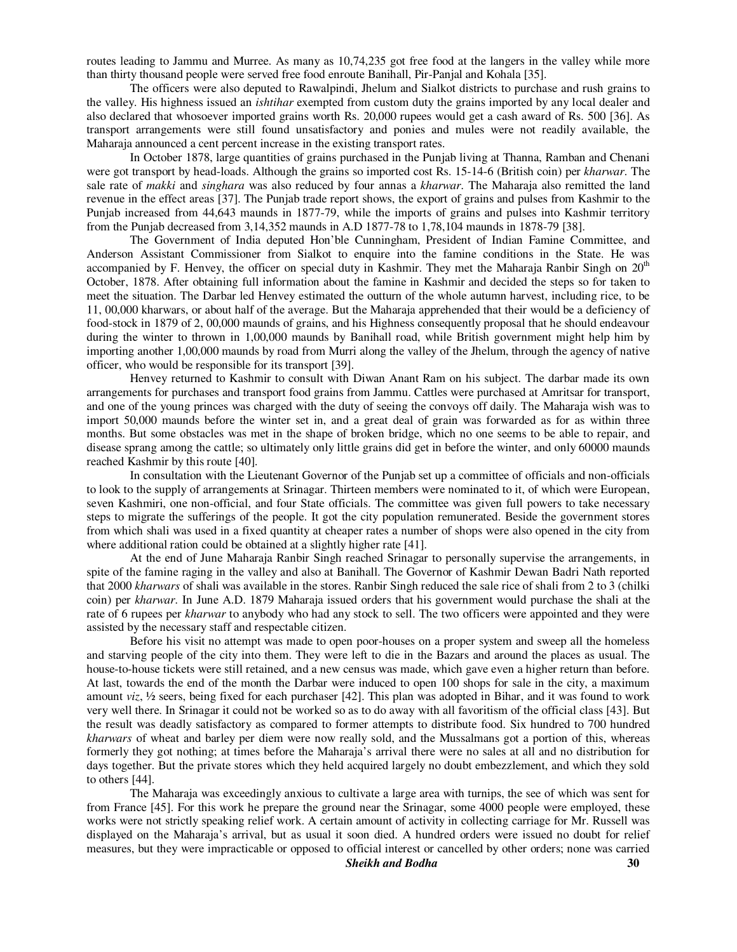routes leading to Jammu and Murree. As many as 10,74,235 got free food at the langers in the valley while more than thirty thousand people were served free food enroute Banihall, Pir-Panjal and Kohala [35].

The officers were also deputed to Rawalpindi, Jhelum and Sialkot districts to purchase and rush grains to the valley. His highness issued an *ishtihar* exempted from custom duty the grains imported by any local dealer and also declared that whosoever imported grains worth Rs. 20,000 rupees would get a cash award of Rs. 500 [36]. As transport arrangements were still found unsatisfactory and ponies and mules were not readily available, the Maharaja announced a cent percent increase in the existing transport rates.

In October 1878, large quantities of grains purchased in the Punjab living at Thanna, Ramban and Chenani were got transport by head-loads. Although the grains so imported cost Rs. 15-14-6 (British coin) per *kharwar*. The sale rate of *makki* and *singhara* was also reduced by four annas a *kharwar*. The Maharaja also remitted the land revenue in the effect areas [37]. The Punjab trade report shows, the export of grains and pulses from Kashmir to the Punjab increased from 44,643 maunds in 1877-79, while the imports of grains and pulses into Kashmir territory from the Punjab decreased from 3,14,352 maunds in A.D 1877-78 to 1,78,104 maunds in 1878-79 [38].

The Government of India deputed Hon'ble Cunningham, President of Indian Famine Committee, and Anderson Assistant Commissioner from Sialkot to enquire into the famine conditions in the State. He was accompanied by F. Henvey, the officer on special duty in Kashmir. They met the Maharaja Ranbir Singh on  $20<sup>th</sup>$ October, 1878. After obtaining full information about the famine in Kashmir and decided the steps so for taken to meet the situation. The Darbar led Henvey estimated the outturn of the whole autumn harvest, including rice, to be 11, 00,000 kharwars, or about half of the average. But the Maharaja apprehended that their would be a deficiency of food-stock in 1879 of 2, 00,000 maunds of grains, and his Highness consequently proposal that he should endeavour during the winter to thrown in 1,00,000 maunds by Banihall road, while British government might help him by importing another 1,00,000 maunds by road from Murri along the valley of the Jhelum, through the agency of native officer, who would be responsible for its transport [39].

Henvey returned to Kashmir to consult with Diwan Anant Ram on his subject. The darbar made its own arrangements for purchases and transport food grains from Jammu. Cattles were purchased at Amritsar for transport, and one of the young princes was charged with the duty of seeing the convoys off daily. The Maharaja wish was to import 50,000 maunds before the winter set in, and a great deal of grain was forwarded as for as within three months. But some obstacles was met in the shape of broken bridge, which no one seems to be able to repair, and disease sprang among the cattle; so ultimately only little grains did get in before the winter, and only 60000 maunds reached Kashmir by this route [40].

In consultation with the Lieutenant Governor of the Punjab set up a committee of officials and non-officials to look to the supply of arrangements at Srinagar. Thirteen members were nominated to it, of which were European, seven Kashmiri, one non-official, and four State officials. The committee was given full powers to take necessary steps to migrate the sufferings of the people. It got the city population remunerated. Beside the government stores from which shali was used in a fixed quantity at cheaper rates a number of shops were also opened in the city from where additional ration could be obtained at a slightly higher rate [41].

At the end of June Maharaja Ranbir Singh reached Srinagar to personally supervise the arrangements, in spite of the famine raging in the valley and also at Banihall. The Governor of Kashmir Dewan Badri Nath reported that 2000 *kharwars* of shali was available in the stores. Ranbir Singh reduced the sale rice of shali from 2 to 3 (chilki coin) per *kharwar*. In June A.D. 1879 Maharaja issued orders that his government would purchase the shali at the rate of 6 rupees per *kharwar* to anybody who had any stock to sell. The two officers were appointed and they were assisted by the necessary staff and respectable citizen.

Before his visit no attempt was made to open poor-houses on a proper system and sweep all the homeless and starving people of the city into them. They were left to die in the Bazars and around the places as usual. The house-to-house tickets were still retained, and a new census was made, which gave even a higher return than before. At last, towards the end of the month the Darbar were induced to open 100 shops for sale in the city, a maximum amount *viz*, ½ seers, being fixed for each purchaser [42]. This plan was adopted in Bihar, and it was found to work very well there. In Srinagar it could not be worked so as to do away with all favoritism of the official class [43]. But the result was deadly satisfactory as compared to former attempts to distribute food. Six hundred to 700 hundred *kharwars* of wheat and barley per diem were now really sold, and the Mussalmans got a portion of this, whereas formerly they got nothing; at times before the Maharaja's arrival there were no sales at all and no distribution for days together. But the private stores which they held acquired largely no doubt embezzlement, and which they sold to others [44].

The Maharaja was exceedingly anxious to cultivate a large area with turnips, the see of which was sent for from France [45]. For this work he prepare the ground near the Srinagar, some 4000 people were employed, these works were not strictly speaking relief work. A certain amount of activity in collecting carriage for Mr. Russell was displayed on the Maharaja's arrival, but as usual it soon died. A hundred orders were issued no doubt for relief measures, but they were impracticable or opposed to official interest or cancelled by other orders; none was carried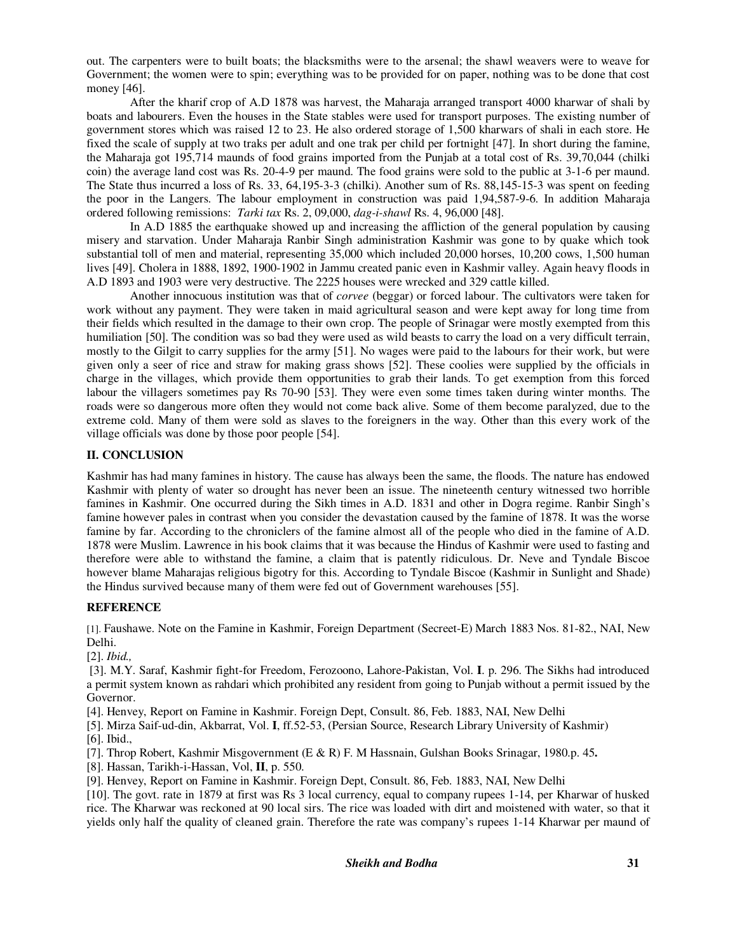out. The carpenters were to built boats; the blacksmiths were to the arsenal; the shawl weavers were to weave for Government; the women were to spin; everything was to be provided for on paper, nothing was to be done that cost money [46].

After the kharif crop of A.D 1878 was harvest, the Maharaja arranged transport 4000 kharwar of shali by boats and labourers. Even the houses in the State stables were used for transport purposes. The existing number of government stores which was raised 12 to 23. He also ordered storage of 1,500 kharwars of shali in each store. He fixed the scale of supply at two traks per adult and one trak per child per fortnight [47]. In short during the famine, the Maharaja got 195,714 maunds of food grains imported from the Punjab at a total cost of Rs. 39,70,044 (chilki coin) the average land cost was Rs. 20-4-9 per maund. The food grains were sold to the public at 3-1-6 per maund. The State thus incurred a loss of Rs. 33, 64,195-3-3 (chilki). Another sum of Rs. 88,145-15-3 was spent on feeding the poor in the Langers. The labour employment in construction was paid 1,94,587-9-6. In addition Maharaja ordered following remissions: *Tarki tax* Rs. 2, 09,000, *dag-i-shawl* Rs. 4, 96,000 [48].

In A.D 1885 the earthquake showed up and increasing the affliction of the general population by causing misery and starvation. Under Maharaja Ranbir Singh administration Kashmir was gone to by quake which took substantial toll of men and material, representing 35,000 which included 20,000 horses, 10,200 cows, 1,500 human lives [49]. Cholera in 1888, 1892, 1900-1902 in Jammu created panic even in Kashmir valley. Again heavy floods in A.D 1893 and 1903 were very destructive. The 2225 houses were wrecked and 329 cattle killed.

Another innocuous institution was that of *corvee* (beggar) or forced labour. The cultivators were taken for work without any payment. They were taken in maid agricultural season and were kept away for long time from their fields which resulted in the damage to their own crop. The people of Srinagar were mostly exempted from this humiliation [50]. The condition was so bad they were used as wild beasts to carry the load on a very difficult terrain, mostly to the Gilgit to carry supplies for the army [51]. No wages were paid to the labours for their work, but were given only a seer of rice and straw for making grass shows [52]. These coolies were supplied by the officials in charge in the villages, which provide them opportunities to grab their lands. To get exemption from this forced labour the villagers sometimes pay Rs 70-90 [53]. They were even some times taken during winter months. The roads were so dangerous more often they would not come back alive. Some of them become paralyzed, due to the extreme cold. Many of them were sold as slaves to the foreigners in the way. Other than this every work of the village officials was done by those poor people [54].

## **II. CONCLUSION**

Kashmir has had many famines in history. The cause has always been the same, the floods. The nature has endowed Kashmir with plenty of water so drought has never been an issue. The nineteenth century witnessed two horrible famines in Kashmir. One occurred during the Sikh times in A.D. 1831 and other in Dogra regime. Ranbir Singh's famine however pales in contrast when you consider the devastation caused by the famine of 1878. It was the worse famine by far. According to the chroniclers of the famine almost all of the people who died in the famine of A.D. 1878 were Muslim. Lawrence in his book claims that it was because the Hindus of Kashmir were used to fasting and therefore were able to withstand the famine, a claim that is patently ridiculous. Dr. Neve and Tyndale Biscoe however blame Maharajas religious bigotry for this. According to Tyndale Biscoe (Kashmir in Sunlight and Shade) the Hindus survived because many of them were fed out of Government warehouses [55].

## **REFERENCE**

[1]. Faushawe. Note on the Famine in Kashmir, Foreign Department (Secreet-E) March 1883 Nos. 81-82., NAI, New Delhi.

[2]. *Ibid.,*

 [3]. M.Y. Saraf, Kashmir fight-for Freedom, Ferozoono, Lahore-Pakistan, Vol. **I**. p. 296. The Sikhs had introduced a permit system known as rahdari which prohibited any resident from going to Punjab without a permit issued by the Governor.

[4]. Henvey, Report on Famine in Kashmir. Foreign Dept, Consult. 86, Feb. 1883, NAI, New Delhi

[5]. Mirza Saif-ud-din, Akbarrat, Vol. **I**, ff.52-53, (Persian Source, Research Library University of Kashmir) [6]. Ibid.,

[7]. Throp Robert, Kashmir Misgovernment (E & R) F. M Hassnain, Gulshan Books Srinagar, 1980.p. 45**.** 

[8]. Hassan, Tarikh-i-Hassan, Vol, **II**, p. 550.

[9]. Henvey, Report on Famine in Kashmir. Foreign Dept, Consult. 86, Feb. 1883, NAI, New Delhi

[10]. The govt. rate in 1879 at first was Rs 3 local currency, equal to company rupees 1-14, per Kharwar of husked rice. The Kharwar was reckoned at 90 local sirs. The rice was loaded with dirt and moistened with water, so that it yields only half the quality of cleaned grain. Therefore the rate was company's rupees 1-14 Kharwar per maund of